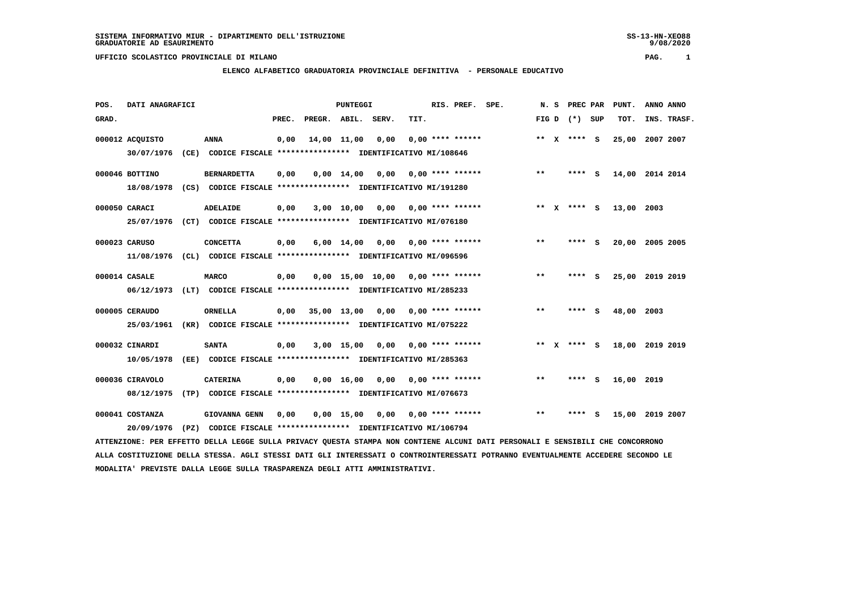## **ELENCO ALFABETICO GRADUATORIA PROVINCIALE DEFINITIVA - PERSONALE EDUCATIVO**

 **POS. DATI ANAGRAFICI PUNTEGGI RIS. PREF. SPE. N. S PREC PAR PUNT. ANNO ANNO**GRAD. **PREGRADE SERVEGE SERVE SERVE SERVE SERVE SERVE SERVE SERVE SERVE SERVE SERVE SERVE SERVE SERVE SERVE SERVE 000012 ACQUISTO ANNA 0,00 14,00 11,00 0,00 0,00 \*\*\*\* \*\*\*\*\*\* \*\* X \*\*\*\* S 25,00 2007 2007 30/07/1976 (CE) CODICE FISCALE \*\*\*\*\*\*\*\*\*\*\*\*\*\*\*\* IDENTIFICATIVO MI/108646 000046 BOTTINO BERNARDETTA 0,00 0,00 14,00 0,00 0,00 \*\*\*\* \*\*\*\*\*\* \*\* \*\*\*\* S 14,00 2014 2014 18/08/1978 (CS) CODICE FISCALE \*\*\*\*\*\*\*\*\*\*\*\*\*\*\*\* IDENTIFICATIVO MI/191280 000050 CARACI ADELAIDE 0,00 3,00 10,00 0,00 0,00 \*\*\*\* \*\*\*\*\*\* \*\* X \*\*\*\* S 13,00 2003 25/07/1976 (CT) CODICE FISCALE \*\*\*\*\*\*\*\*\*\*\*\*\*\*\*\* IDENTIFICATIVO MI/076180 000023 CARUSO CONCETTA 0,00 6,00 14,00 0,00 0,00 \*\*\*\* \*\*\*\*\*\* \*\* \*\*\*\* S 20,00 2005 2005 11/08/1976 (CL) CODICE FISCALE \*\*\*\*\*\*\*\*\*\*\*\*\*\*\*\* IDENTIFICATIVO MI/096596 000014 CASALE MARCO 0,00 0,00 15,00 10,00 0,00 \*\*\*\* \*\*\*\*\*\* \*\* \*\*\*\* S 25,00 2019 2019 06/12/1973 (LT) CODICE FISCALE \*\*\*\*\*\*\*\*\*\*\*\*\*\*\*\* IDENTIFICATIVO MI/285233 000005 CERAUDO ORNELLA 0,00 35,00 13,00 0,00 0,00 \*\*\*\* \*\*\*\*\*\* \*\* \*\*\*\* S 48,00 2003 25/03/1961 (KR) CODICE FISCALE \*\*\*\*\*\*\*\*\*\*\*\*\*\*\*\* IDENTIFICATIVO MI/075222 000032 CINARDI SANTA 0,00 3,00 15,00 0,00 0,00 \*\*\*\* \*\*\*\*\*\* \*\* X \*\*\*\* S 18,00 2019 2019 10/05/1978 (EE) CODICE FISCALE \*\*\*\*\*\*\*\*\*\*\*\*\*\*\*\* IDENTIFICATIVO MI/285363 000036 CIRAVOLO CATERINA 0,00 0,00 16,00 0,00 0,00 \*\*\*\* \*\*\*\*\*\* \*\* \*\*\*\* S 16,00 2019 08/12/1975 (TP) CODICE FISCALE \*\*\*\*\*\*\*\*\*\*\*\*\*\*\*\* IDENTIFICATIVO MI/076673**

 **000041 COSTANZA GIOVANNA GENN 0,00 0,00 15,00 0,00 0,00 \*\*\*\* \*\*\*\*\*\* \*\* \*\*\*\* S 15,00 2019 2007 20/09/1976 (PZ) CODICE FISCALE \*\*\*\*\*\*\*\*\*\*\*\*\*\*\*\* IDENTIFICATIVO MI/106794 ATTENZIONE: PER EFFETTO DELLA LEGGE SULLA PRIVACY QUESTA STAMPA NON CONTIENE ALCUNI DATI PERSONALI E SENSIBILI CHE CONCORRONO**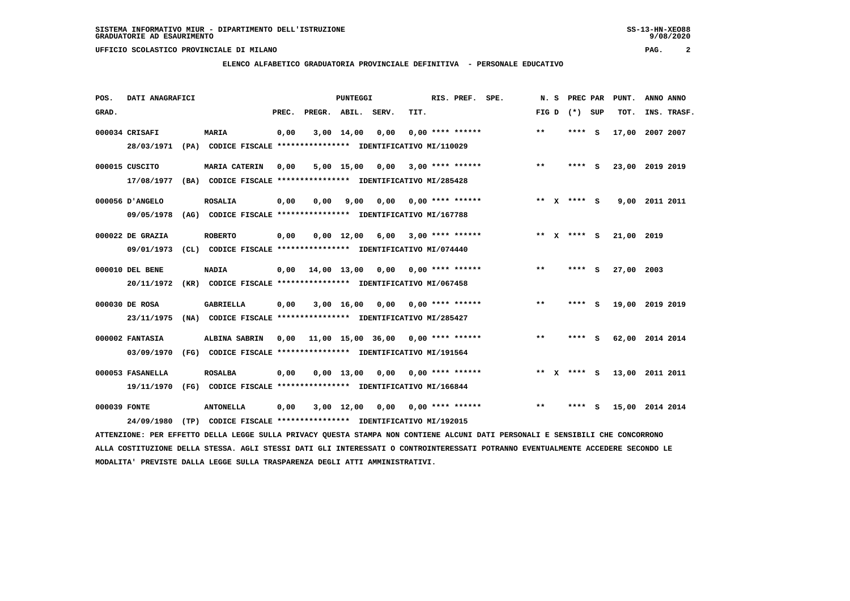**ELENCO ALFABETICO GRADUATORIA PROVINCIALE DEFINITIVA - PERSONALE EDUCATIVO**

 **POS. DATI ANAGRAFICI PUNTEGGI RIS. PREF. SPE. N. S PREC PAR PUNT. ANNO ANNO**GRAD. **BRAD. PREC. PREGR. ABIL. SERV.** TIT. **FIG D** (\*) SUP TOT. INS. TRASF.  **000034 CRISAFI MARIA 0,00 3,00 14,00 0,00 0,00 \*\*\*\* \*\*\*\*\*\* \*\* \*\*\*\* S 17,00 2007 2007 28/03/1971 (PA) CODICE FISCALE \*\*\*\*\*\*\*\*\*\*\*\*\*\*\*\* IDENTIFICATIVO MI/110029 000015 CUSCITO MARIA CATERIN 0,00 5,00 15,00 0,00 3,00 \*\*\*\* \*\*\*\*\*\* \*\* \*\*\*\* S 23,00 2019 2019 17/08/1977 (BA) CODICE FISCALE \*\*\*\*\*\*\*\*\*\*\*\*\*\*\*\* IDENTIFICATIVO MI/285428 000056 D'ANGELO ROSALIA 0,00 0,00 9,00 0,00 0,00 \*\*\*\* \*\*\*\*\*\* \*\* X \*\*\*\* S 9,00 2011 2011 09/05/1978 (AG) CODICE FISCALE \*\*\*\*\*\*\*\*\*\*\*\*\*\*\*\* IDENTIFICATIVO MI/167788 000022 DE GRAZIA ROBERTO 0,00 0,00 12,00 6,00 3,00 \*\*\*\* \*\*\*\*\*\* \*\* X \*\*\*\* S 21,00 2019 09/01/1973 (CL) CODICE FISCALE \*\*\*\*\*\*\*\*\*\*\*\*\*\*\*\* IDENTIFICATIVO MI/074440 000010 DEL BENE NADIA 0,00 14,00 13,00 0,00 0,00 \*\*\*\* \*\*\*\*\*\* \*\* \*\*\*\* S 27,00 2003 20/11/1972 (KR) CODICE FISCALE \*\*\*\*\*\*\*\*\*\*\*\*\*\*\*\* IDENTIFICATIVO MI/067458 000030 DE ROSA GABRIELLA 0,00 3,00 16,00 0,00 0,00 \*\*\*\* \*\*\*\*\*\* \*\* \*\*\*\* S 19,00 2019 2019 23/11/1975 (NA) CODICE FISCALE \*\*\*\*\*\*\*\*\*\*\*\*\*\*\*\* IDENTIFICATIVO MI/285427 000002 FANTASIA ALBINA SABRIN 0,00 11,00 15,00 36,00 0,00 \*\*\*\* \*\*\*\*\*\* \*\* \*\*\*\* S 62,00 2014 2014 03/09/1970 (FG) CODICE FISCALE \*\*\*\*\*\*\*\*\*\*\*\*\*\*\*\* IDENTIFICATIVO MI/191564 000053 FASANELLA ROSALBA 0,00 0,00 13,00 0,00 0,00 \*\*\*\* \*\*\*\*\*\* \*\* X \*\*\*\* S 13,00 2011 2011**

 **19/11/1970 (FG) CODICE FISCALE \*\*\*\*\*\*\*\*\*\*\*\*\*\*\*\* IDENTIFICATIVO MI/166844**

 **000039 FONTE ANTONELLA 0,00 3,00 12,00 0,00 0,00 \*\*\*\* \*\*\*\*\*\* \*\* \*\*\*\* S 15,00 2014 2014 24/09/1980 (TP) CODICE FISCALE \*\*\*\*\*\*\*\*\*\*\*\*\*\*\*\* IDENTIFICATIVO MI/192015 ATTENZIONE: PER EFFETTO DELLA LEGGE SULLA PRIVACY QUESTA STAMPA NON CONTIENE ALCUNI DATI PERSONALI E SENSIBILI CHE CONCORRONO**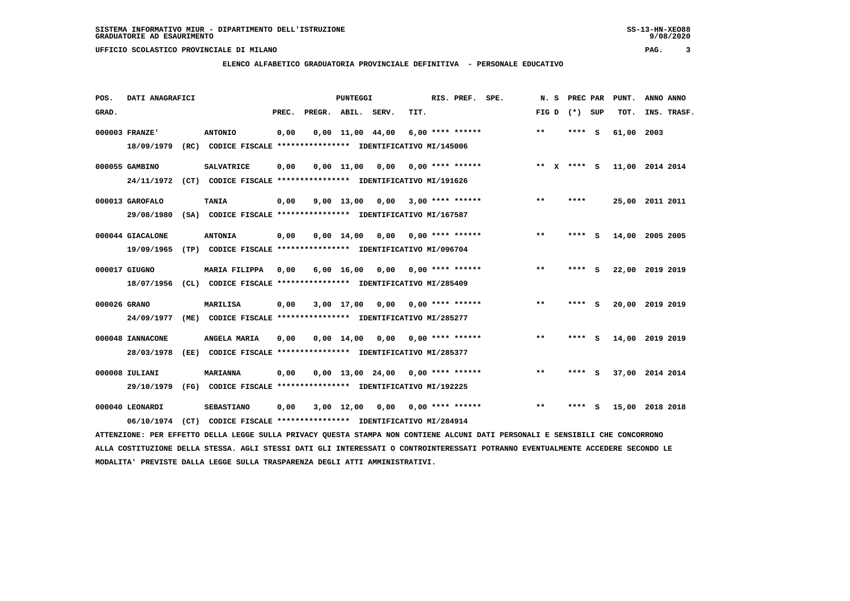**ELENCO ALFABETICO GRADUATORIA PROVINCIALE DEFINITIVA - PERSONALE EDUCATIVO**

| POS.         | DATI ANAGRAFICI  |  |                                                                                                                               | PUNTEGGI |                    |                    |                                     |      |  | RIS. PREF. SPE.    |  |       | N.S | PREC PAR |     | PUNT.           | ANNO ANNO |             |
|--------------|------------------|--|-------------------------------------------------------------------------------------------------------------------------------|----------|--------------------|--------------------|-------------------------------------|------|--|--------------------|--|-------|-----|----------|-----|-----------------|-----------|-------------|
| GRAD.        |                  |  |                                                                                                                               | PREC.    | PREGR. ABIL. SERV. |                    |                                     | TIT. |  |                    |  | FIG D |     | (*) SUP  |     | TOT.            |           | INS. TRASF. |
|              | 000003 FRANZE'   |  | <b>ANTONIO</b>                                                                                                                | 0,00     |                    |                    | $0,00 \quad 11,00 \quad 44,00$      |      |  | $6,00$ **** ****** |  | $***$ |     | ****     | - S | 61,00           | 2003      |             |
|              | 18/09/1979       |  | (RC) CODICE FISCALE **************** IDENTIFICATIVO MI/145006                                                                 |          |                    |                    |                                     |      |  |                    |  |       |     |          |     |                 |           |             |
|              | 000055 GAMBINO   |  | <b>SALVATRICE</b>                                                                                                             | 0,00     |                    | 0.00 11.00         | 0.00                                |      |  | 0,00 **** ******   |  | $* *$ | x   | **** S   |     | 11,00 2014 2014 |           |             |
|              | 24/11/1972       |  | (CT) CODICE FISCALE **************** IDENTIFICATIVO MI/191626                                                                 |          |                    |                    |                                     |      |  |                    |  |       |     |          |     |                 |           |             |
|              | 000013 GAROFALO  |  | <b>TANIA</b>                                                                                                                  | 0,00     |                    | 9,00 13,00         | 0,00                                |      |  | $3,00$ **** ****** |  | $* *$ |     | ****     |     | 25,00 2011 2011 |           |             |
|              | 29/08/1980       |  | (SA) CODICE FISCALE **************** IDENTIFICATIVO MI/167587                                                                 |          |                    |                    |                                     |      |  |                    |  |       |     |          |     |                 |           |             |
|              | 000044 GIACALONE |  | <b>ANTONIA</b>                                                                                                                | 0,00     |                    | 0,00 14,00         | 0,00                                |      |  | $0.00$ **** ****** |  | $***$ |     | ****     | s   | 14,00           | 2005 2005 |             |
|              | 19/09/1965       |  | (TP) CODICE FISCALE **************** IDENTIFICATIVO MI/096704                                                                 |          |                    |                    |                                     |      |  |                    |  |       |     |          |     |                 |           |             |
|              | 000017 GIUGNO    |  | MARIA FILIPPA                                                                                                                 | 0,00     |                    | $6,00 \quad 16,00$ | 0,00                                |      |  | 0,00 **** ******   |  | $***$ |     | **** S   |     | 22,00 2019 2019 |           |             |
|              | 18/07/1956       |  | (CL) CODICE FISCALE **************** IDENTIFICATIVO MI/285409                                                                 |          |                    |                    |                                     |      |  |                    |  |       |     |          |     |                 |           |             |
| 000026 GRANO |                  |  | <b>MARILISA</b>                                                                                                               | 0,00     |                    | 3,00 17,00         | 0,00                                |      |  | $0.00$ **** ****** |  | $* *$ |     |          | - S | 20,00 2019 2019 |           |             |
|              | 24/09/1977       |  | (ME) CODICE FISCALE **************** IDENTIFICATIVO MI/285277                                                                 |          |                    |                    |                                     |      |  |                    |  |       |     |          |     |                 |           |             |
|              | 000048 IANNACONE |  | ANGELA MARIA                                                                                                                  | 0,00     |                    | $0,00 \quad 14,00$ | 0,00                                |      |  | $0.00$ **** ****** |  | $***$ |     | ****     | - 5 | 14,00           | 2019 2019 |             |
|              | 28/03/1978       |  | (EE) CODICE FISCALE **************** IDENTIFICATIVO MI/285377                                                                 |          |                    |                    |                                     |      |  |                    |  |       |     |          |     |                 |           |             |
|              | 000008 IULIANI   |  | <b>MARIANNA</b>                                                                                                               | 0,00     |                    |                    | $0.00$ 13.00 24.00 0.00 **** ****** |      |  |                    |  | $* *$ |     | **** S   |     | 37,00 2014 2014 |           |             |
|              | 29/10/1979       |  | (FG) CODICE FISCALE **************** IDENTIFICATIVO MI/192225                                                                 |          |                    |                    |                                     |      |  |                    |  |       |     |          |     |                 |           |             |
|              | 000040 LEONARDI  |  | <b>SEBASTIANO</b>                                                                                                             | 0,00     |                    | $3,00$ 12,00       | 0,00                                |      |  | $0.00$ **** ****** |  | $* *$ |     |          | s   | 15,00 2018 2018 |           |             |
|              | 06/10/1974       |  | (CT) CODICE FISCALE **************** IDENTIFICATIVO MI/284914                                                                 |          |                    |                    |                                     |      |  |                    |  |       |     |          |     |                 |           |             |
|              |                  |  | ATTENZIONE: PER EFFETTO DELLA LEGGE SULLA PRIVACY QUESTA STAMPA NON CONTIENE ALCUNI DATI PERSONALI E SENSIBILI CHE CONCORRONO |          |                    |                    |                                     |      |  |                    |  |       |     |          |     |                 |           |             |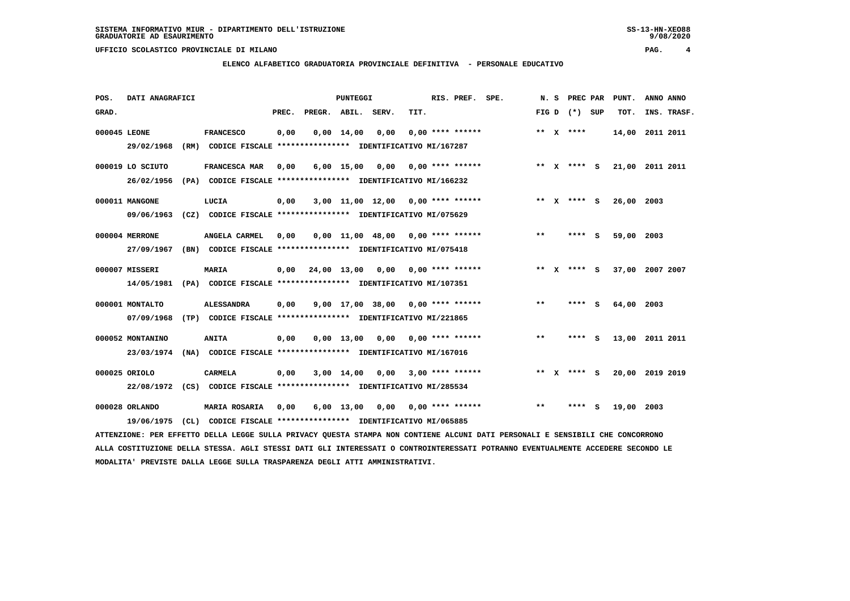**ELENCO ALFABETICO GRADUATORIA PROVINCIALE DEFINITIVA - PERSONALE EDUCATIVO**

| POS.         | DATI ANAGRAFICI                |                                                                                           |       |                    | <b>PUNTEGGI</b>    |                                     |      | RIS. PREF.                | SPE. | N.S   | PREC PAR        |     | PUNT.           | ANNO ANNO |             |
|--------------|--------------------------------|-------------------------------------------------------------------------------------------|-------|--------------------|--------------------|-------------------------------------|------|---------------------------|------|-------|-----------------|-----|-----------------|-----------|-------------|
| GRAD.        |                                |                                                                                           | PREC. | PREGR. ABIL. SERV. |                    |                                     | TIT. |                           |      |       | FIG D $(*)$ SUP |     | TOT.            |           | INS. TRASF. |
| 000045 LEONE | 29/02/1968                     | <b>FRANCESCO</b><br>(RM) CODICE FISCALE **************** IDENTIFICATIVO MI/167287         | 0,00  |                    | $0,00 \quad 14,00$ | 0,00                                |      | $0.00$ **** ******        |      |       | ** $X$ ****     |     | 14,00 2011 2011 |           |             |
|              | 000019 LO SCIUTO<br>26/02/1956 | FRANCESCA MAR<br>(PA) CODICE FISCALE **************** IDENTIFICATIVO MI/166232            | 0,00  |                    |                    | $6,00$ 15,00 0,00                   |      | $0.00$ **** ******        |      |       | ** $X$ **** S   |     | 21,00 2011 2011 |           |             |
|              | 000011 MANGONE<br>09/06/1963   | LUCIA<br>(CZ) CODICE FISCALE **************** IDENTIFICATIVO MI/075629                    | 0,00  |                    |                    | $3,00$ 11,00 12,00 0,00 **** ****** |      |                           |      |       | ** X **** S     |     | 26,00 2003      |           |             |
|              | 000004 MERRONE<br>27/09/1967   | ANGELA CARMEL<br>(BN) CODICE FISCALE **************** IDENTIFICATIVO MI/075418            | 0.00  |                    |                    | $0,00$ 11,00 48,00 0,00 **** ****** |      |                           |      | **    | ****            | - S | 59,00 2003      |           |             |
|              | 000007 MISSERI<br>14/05/1981   | <b>MARIA</b><br>(PA) CODICE FISCALE **************** IDENTIFICATIVO MI/107351             | 0,00  |                    |                    | 24,00 13,00 0,00 0,00 **** ******   |      |                           |      |       | ** x **** S     |     | 37,00 2007 2007 |           |             |
|              | 000001 MONTALTO<br>07/09/1968  | <b>ALESSANDRA</b><br>(TP) CODICE FISCALE **************** IDENTIFICATIVO MI/221865        | 0,00  |                    |                    | $9,00$ 17,00 38,00 0,00 **** ****** |      |                           |      | $* *$ | ****            | - S | 64,00 2003      |           |             |
|              | 000052 MONTANINO<br>23/03/1974 | <b>ANITA</b><br>(NA) CODICE FISCALE **************** IDENTIFICATIVO MI/167016             | 0,00  |                    | $0,00$ 13,00       | 0,00                                |      | 0.00 **** ******          |      | $***$ | **** S          |     | 13,00 2011 2011 |           |             |
|              | 000025 ORIOLO                  | <b>CARMELA</b><br>22/08/1972 (CS) CODICE FISCALE *************** IDENTIFICATIVO MI/285534 | 0,00  |                    | 3,00 14,00         | 0,00                                |      | 3,00 **** ******          |      |       | ** x **** S     |     | 20,00 2019 2019 |           |             |
|              | 000028 ORLANDO<br>19/06/1975   | <b>MARIA ROSARIA</b><br>(CL) CODICE FISCALE **************** IDENTIFICATIVO MI/065885     | 0,00  |                    | 6,00 13,00         |                                     |      | $0.00$ $0.00$ **** ****** |      | $* *$ | ****            | s   | 19,00           | 2003      |             |

 **ATTENZIONE: PER EFFETTO DELLA LEGGE SULLA PRIVACY QUESTA STAMPA NON CONTIENE ALCUNI DATI PERSONALI E SENSIBILI CHE CONCORRONO ALLA COSTITUZIONE DELLA STESSA. AGLI STESSI DATI GLI INTERESSATI O CONTROINTERESSATI POTRANNO EVENTUALMENTE ACCEDERE SECONDO LE MODALITA' PREVISTE DALLA LEGGE SULLA TRASPARENZA DEGLI ATTI AMMINISTRATIVI.**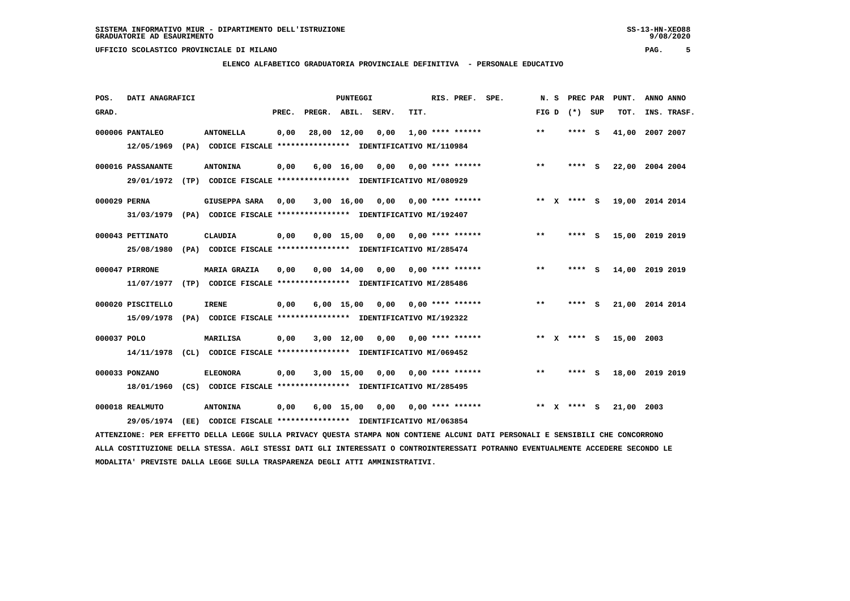**ELENCO ALFABETICO GRADUATORIA PROVINCIALE DEFINITIVA - PERSONALE EDUCATIVO**

| POS.        | DATI ANAGRAFICI                 |                                                                                            |       |                    | PUNTEGGI           |                               |                                | RIS. PREF. | SPE. |       |              | N. S PREC PAR |     | PUNT.      | ANNO ANNO       |
|-------------|---------------------------------|--------------------------------------------------------------------------------------------|-------|--------------------|--------------------|-------------------------------|--------------------------------|------------|------|-------|--------------|---------------|-----|------------|-----------------|
| GRAD.       |                                 |                                                                                            | PREC. | PREGR. ABIL. SERV. |                    |                               | TIT.                           |            |      | FIG D |              | (*) SUP       |     | TOT.       | INS. TRASF.     |
|             | 000006 PANTALEO<br>12/05/1969   | <b>ANTONELLA</b><br>(PA) CODICE FISCALE **************** IDENTIFICATIVO MI/110984          | 0,00  |                    | 28,00 12,00        | 0,00                          | $1,00$ **** ******             |            |      | $***$ |              | **** S        |     | 41,00      | 2007 2007       |
|             | 000016 PASSANANTE               | <b>ANTONINA</b><br>29/01/1972 (TP) CODICE FISCALE *************** IDENTIFICATIVO MI/080929 | 0,00  |                    | $6,00 \quad 16,00$ | 0,00                          | $0.00$ **** ******             |            |      | $* *$ |              | **** S        |     |            | 22,00 2004 2004 |
|             | 000029 PERNA<br>31/03/1979      | <b>GIUSEPPA SARA</b><br>(PA) CODICE FISCALE **************** IDENTIFICATIVO MI/192407      | 0,00  |                    | 3,00 16,00         |                               | $0.00$ $0.00$ $***$ **** ***** |            |      |       |              | ** $X$ **** S |     |            | 19,00 2014 2014 |
|             | 000043 PETTINATO<br>25/08/1980  | <b>CLAUDIA</b><br>(PA) CODICE FISCALE **************** IDENTIFICATIVO MI/285474            | 0,00  |                    | $0.00$ 15.00       | 0,00                          | $0.00$ **** ******             |            |      | **    |              | **** S        |     |            | 15,00 2019 2019 |
|             | 000047 PIRRONE<br>11/07/1977    | <b>MARIA GRAZIA</b><br>(TP) CODICE FISCALE **************** IDENTIFICATIVO MI/285486       | 0,00  |                    |                    | $0.00 \quad 14.00 \quad 0.00$ | 0,00 **** ******               |            |      | $**$  |              | ****          | - S |            | 14,00 2019 2019 |
|             | 000020 PISCITELLO<br>15/09/1978 | <b>IRENE</b><br>(PA) CODICE FISCALE **************** IDENTIFICATIVO MI/192322              | 0,00  |                    | $6,00$ 15,00       |                               | $0,00$ $0,00$ **** ******      |            |      | $***$ |              | **** S        |     |            | 21,00 2014 2014 |
| 000037 POLO | 14/11/1978                      | <b>MARILISA</b><br>(CL) CODICE FISCALE **************** IDENTIFICATIVO MI/069452           | 0,00  |                    | $3,00$ 12,00       | 0,00                          | $0.00$ **** ******             |            |      |       |              | ** x **** S   |     | 15,00 2003 |                 |
|             | 000033 PONZANO<br>18/01/1960    | <b>ELEONORA</b><br>(CS) CODICE FISCALE **************** IDENTIFICATIVO MI/285495           | 0,00  |                    | $3,00$ 15,00       | 0,00                          | $0.00$ **** ******             |            |      | $* *$ |              | ****          | - 5 |            | 18,00 2019 2019 |
|             | 000018 REALMUTO<br>29/05/1974   | <b>ANTONINA</b><br>(EE) CODICE FISCALE **************** IDENTIFICATIVO MI/063854           | 0,00  |                    | $6,00$ 15,00       | 0,00                          | 0,00 **** ******               |            |      | $* *$ | $\mathbf{x}$ | **** S        |     | 21,00      | 2003            |

 **ATTENZIONE: PER EFFETTO DELLA LEGGE SULLA PRIVACY QUESTA STAMPA NON CONTIENE ALCUNI DATI PERSONALI E SENSIBILI CHE CONCORRONO ALLA COSTITUZIONE DELLA STESSA. AGLI STESSI DATI GLI INTERESSATI O CONTROINTERESSATI POTRANNO EVENTUALMENTE ACCEDERE SECONDO LE MODALITA' PREVISTE DALLA LEGGE SULLA TRASPARENZA DEGLI ATTI AMMINISTRATIVI.**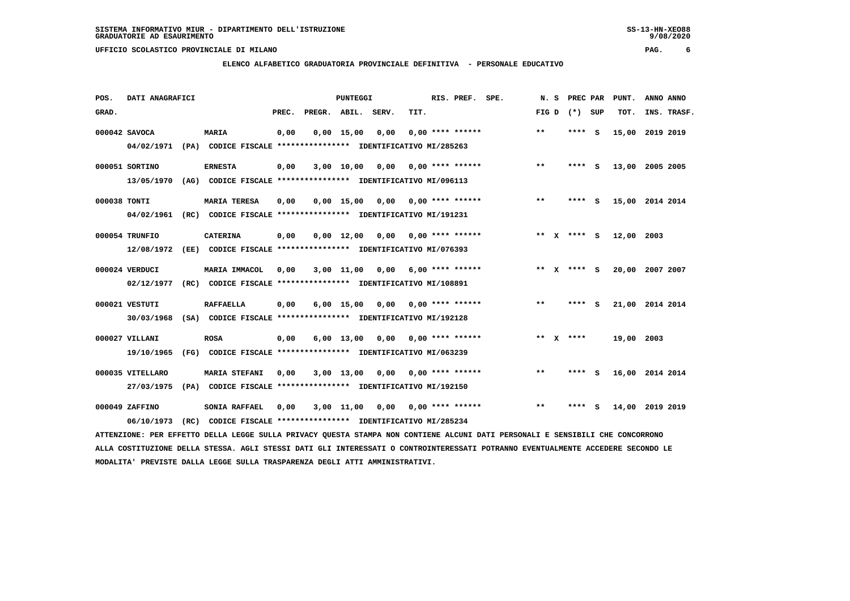**ELENCO ALFABETICO GRADUATORIA PROVINCIALE DEFINITIVA - PERSONALE EDUCATIVO**

| POS.         | DATI ANAGRAFICI  |  |                                                                                                                               | PUNTEGGI |                    |              |                                    |      |  | RIS. PREF. SPE.           |  |       | N. S | PREC PAR        |  | PUNT.           | ANNO ANNO |             |
|--------------|------------------|--|-------------------------------------------------------------------------------------------------------------------------------|----------|--------------------|--------------|------------------------------------|------|--|---------------------------|--|-------|------|-----------------|--|-----------------|-----------|-------------|
| GRAD.        |                  |  |                                                                                                                               | PREC.    | PREGR. ABIL. SERV. |              |                                    | TIT. |  |                           |  |       |      | FIG D $(*)$ SUP |  | TOT.            |           | INS. TRASF. |
|              | 000042 SAVOCA    |  | <b>MARIA</b>                                                                                                                  | 0,00     |                    | $0,00$ 15,00 | 0,00                               |      |  | $0.00$ **** ******        |  | $**$  |      | **** S          |  | 15,00 2019 2019 |           |             |
|              |                  |  | 04/02/1971 (PA) CODICE FISCALE *************** IDENTIFICATIVO MI/285263                                                       |          |                    |              |                                    |      |  |                           |  |       |      |                 |  |                 |           |             |
|              | 000051 SORTINO   |  | <b>ERNESTA</b>                                                                                                                | 0,00     |                    |              | $3,00$ 10,00 0,00 0,00 **** ****** |      |  |                           |  | $***$ |      | **** S          |  | 13,00 2005 2005 |           |             |
|              | 13/05/1970       |  | (AG) CODICE FISCALE *************** IDENTIFICATIVO MI/096113                                                                  |          |                    |              |                                    |      |  |                           |  |       |      |                 |  |                 |           |             |
| 000038 TONTI |                  |  | <b>MARIA TERESA</b>                                                                                                           | 0,00     |                    | $0.00$ 15.00 |                                    |      |  | $0,00$ $0,00$ **** ****** |  | $* *$ |      | **** S          |  | 15,00 2014 2014 |           |             |
|              |                  |  | 04/02/1961 (RC) CODICE FISCALE *************** IDENTIFICATIVO MI/191231                                                       |          |                    |              |                                    |      |  |                           |  |       |      |                 |  |                 |           |             |
|              | 000054 TRUNFIO   |  | <b>CATERINA</b>                                                                                                               | 0,00     |                    |              | $0.00$ 12.00 0.00 0.00 **** ****** |      |  |                           |  |       |      | ** X **** S     |  | 12,00 2003      |           |             |
|              | 12/08/1972       |  | (EE) CODICE FISCALE **************** IDENTIFICATIVO MI/076393                                                                 |          |                    |              |                                    |      |  |                           |  |       |      |                 |  |                 |           |             |
|              | 000024 VERDUCI   |  | <b>MARIA IMMACOL</b>                                                                                                          | 0,00     |                    |              | $3,00$ 11,00 0,00 6,00 **** ****** |      |  |                           |  |       |      | ** X **** S     |  | 20,00 2007 2007 |           |             |
|              |                  |  | 02/12/1977 (RC) CODICE FISCALE *************** IDENTIFICATIVO MI/108891                                                       |          |                    |              |                                    |      |  |                           |  |       |      |                 |  |                 |           |             |
|              | 000021 VESTUTI   |  | <b>RAFFAELLA</b>                                                                                                              | 0,00     |                    | $6,00$ 15,00 |                                    |      |  |                           |  | $***$ |      | **** S          |  | 21,00 2014 2014 |           |             |
|              | 30/03/1968       |  | (SA) CODICE FISCALE **************** IDENTIFICATIVO MI/192128                                                                 |          |                    |              |                                    |      |  |                           |  |       |      |                 |  |                 |           |             |
|              | 000027 VILLANI   |  | <b>ROSA</b>                                                                                                                   | 0,00     |                    |              | 6,00 13,00 0,00                    |      |  | $0.00$ **** ******        |  |       |      | ** $X$ ****     |  | 19,00 2003      |           |             |
|              | 19/10/1965       |  | (FG) CODICE FISCALE **************** IDENTIFICATIVO MI/063239                                                                 |          |                    |              |                                    |      |  |                           |  |       |      |                 |  |                 |           |             |
|              | 000035 VITELLARO |  | <b>MARIA STEFANI</b>                                                                                                          | 0,00     |                    |              | $3,00$ 13,00 0,00 0,00 **** ****** |      |  |                           |  | $* *$ |      | **** S          |  | 16,00 2014 2014 |           |             |
|              | 27/03/1975       |  | (PA) CODICE FISCALE **************** IDENTIFICATIVO MI/192150                                                                 |          |                    |              |                                    |      |  |                           |  |       |      |                 |  |                 |           |             |
|              | 000049 ZAFFINO   |  | SONIA RAFFAEL                                                                                                                 | 0,00     |                    |              | 3,00 11,00 0,00 0,00 **** ******   |      |  |                           |  | $* *$ |      | **** S          |  | 14,00 2019 2019 |           |             |
|              | 06/10/1973       |  | (RC) CODICE FISCALE **************** IDENTIFICATIVO MI/285234                                                                 |          |                    |              |                                    |      |  |                           |  |       |      |                 |  |                 |           |             |
|              |                  |  | ATTENZIONE: PER EFFETTO DELLA LEGGE SULLA PRIVACY QUESTA STAMPA NON CONTIENE ALCUNI DATI PERSONALI E SENSIBILI CHE CONCORRONO |          |                    |              |                                    |      |  |                           |  |       |      |                 |  |                 |           |             |